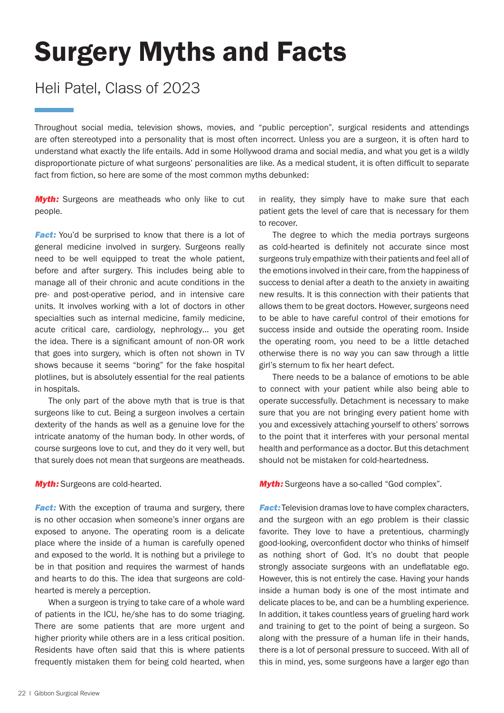## Surgery Myths and Facts

## Heli Patel, Class of 2023

Throughout social media, television shows, movies, and "public perception", surgical residents and attendings are often stereotyped into a personality that is most often incorrect. Unless you are a surgeon, it is often hard to understand what exactly the life entails. Add in some Hollywood drama and social media, and what you get is a wildly disproportionate picture of what surgeons' personalities are like. As a medical student, it is often difficult to separate fact from fiction, so here are some of the most common myths debunked:

**Myth:** Surgeons are meatheads who only like to cut people.

**Fact:** You'd be surprised to know that there is a lot of general medicine involved in surgery. Surgeons really need to be well equipped to treat the whole patient, before and after surgery. This includes being able to manage all of their chronic and acute conditions in the pre- and post-operative period, and in intensive care units. It involves working with a lot of doctors in other specialties such as internal medicine, family medicine, acute critical care, cardiology, nephrology… you get the idea. There is a significant amount of non-OR work that goes into surgery, which is often not shown in TV shows because it seems "boring" for the fake hospital plotlines, but is absolutely essential for the real patients in hospitals.

The only part of the above myth that is true is that surgeons like to cut. Being a surgeon involves a certain dexterity of the hands as well as a genuine love for the intricate anatomy of the human body. In other words, of course surgeons love to cut, and they do it very well, but that surely does not mean that surgeons are meatheads.

**Myth:** Surgeons are cold-hearted.

**Fact:** With the exception of trauma and surgery, there is no other occasion when someone's inner organs are exposed to anyone. The operating room is a delicate place where the inside of a human is carefully opened and exposed to the world. It is nothing but a privilege to be in that position and requires the warmest of hands and hearts to do this. The idea that surgeons are coldhearted is merely a perception.

When a surgeon is trying to take care of a whole ward of patients in the ICU, he/she has to do some triaging. There are some patients that are more urgent and higher priority while others are in a less critical position. Residents have often said that this is where patients frequently mistaken them for being cold hearted, when

in reality, they simply have to make sure that each patient gets the level of care that is necessary for them to recover.

The degree to which the media portrays surgeons as cold-hearted is definitely not accurate since most surgeons truly empathize with their patients and feel all of the emotions involved in their care, from the happiness of success to denial after a death to the anxiety in awaiting new results. It is this connection with their patients that allows them to be great doctors. However, surgeons need to be able to have careful control of their emotions for success inside and outside the operating room. Inside the operating room, you need to be a little detached otherwise there is no way you can saw through a little girl's sternum to fix her heart defect.

There needs to be a balance of emotions to be able to connect with your patient while also being able to operate successfully. Detachment is necessary to make sure that you are not bringing every patient home with you and excessively attaching yourself to others' sorrows to the point that it interferes with your personal mental health and performance as a doctor. But this detachment should not be mistaken for cold-heartedness.

**Myth:** Surgeons have a so-called "God complex".

**Fact:** Television dramas love to have complex characters, and the surgeon with an ego problem is their classic favorite. They love to have a pretentious, charmingly good-looking, overconfident doctor who thinks of himself as nothing short of God. It's no doubt that people strongly associate surgeons with an undeflatable ego. However, this is not entirely the case. Having your hands inside a human body is one of the most intimate and delicate places to be, and can be a humbling experience. In addition, it takes countless years of grueling hard work and training to get to the point of being a surgeon. So along with the pressure of a human life in their hands, there is a lot of personal pressure to succeed. With all of this in mind, yes, some surgeons have a larger ego than